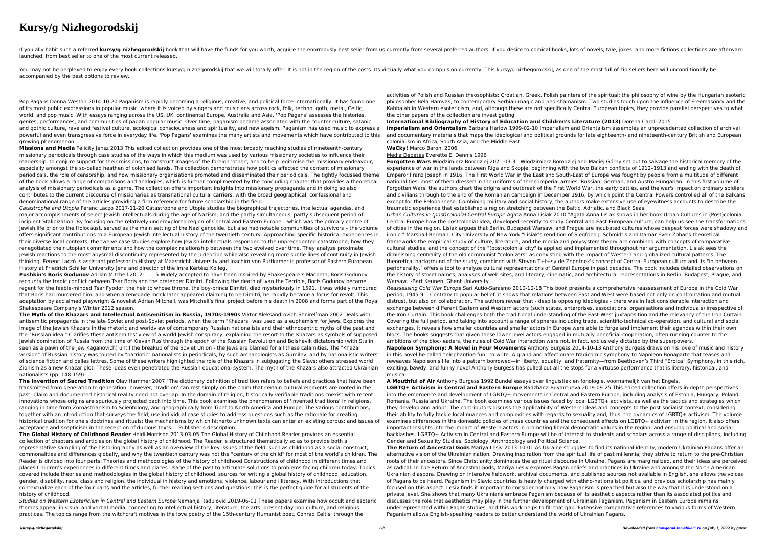## **Kursy/g Nizhegorodskij**

If you ally habit such a referred kursy/g nizhegorodskij book that will have the funds for you worth, acquire the enormously best seller from us currently from several preferred authors. If you desire to comical books, lot launched, from best seller to one of the most current released.

You may not be perplexed to enjoy every book collections kursy/g nizhegorodskij that we will totally offer. It is not in the region of the costs. Its virtually what you compulsion currently. This kursy/g nizhegorodskij, as accompanied by the best options to review.

Pop Pagans Donna Weston 2014-10-20 Paganism is rapidly becoming a religious, creative, and political force internationally. It has found one of its most public expressions in popular music, where it is voiced by singers and musicians across rock, folk, techno, goth, metal, Celtic, world, and pop music. With essays ranging across the US, UK, continental Europe, Australia and Asia, 'Pop Pagans' assesses the histories, genres, performances, and communities of pagan popular music. Over time, paganism became associated with the counter culture, satanic and gothic culture, rave and festival culture, ecological consciousness and spirituality, and new ageism. Paganism has used music to express a powerful and even transgressive force in everyday life. 'Pop Pagans' examines the many artists and movements which have contributed to this growing phenomenon.

**Missions and Media** Felicity Jensz 2013 This edited collection provides one of the most broadly reaching studies of nineteenth-century missionary periodicals through case studies of the ways in which this medium was used by various missionary societies to influence their readership, to conjure support for their missions, to construct images of the foreign 'other', and to help legitimise the missionary endeavour, especially amongst the so-called heathen of colonised lands. The collection demonstrates how politics affected the content of missionary periodicals, the role of censorship, and how missionary organisations promoted and disseminated their periodicals. The tightly focussed theme of the book allows a range of comparisons and analogies, which is further complimented by the concluding chapter that provides a theoretical analysis of missionary periodicals as a genre. The collection offers important insights into missionary propaganda and in doing so also contributes to the current discourse of missionaries as transnational cultural carriers, with the broad geographical, confessional and denominational range of the articles providing a firm reference for future scholarship in the field.

Catastrophe and Utopia Ferenc Laczo 2017-11-20 Catastrophe and Utopia studies the biographical trajectories, intellectual agendas, and major accomplishments of select Jewish intellectuals during the age of Nazism, and the partly simultaneous, partly subsequent period of incipient Stalinization. By focusing on the relatively underexplored region of Central and Eastern Europe – which was the primary centre of Jewish life prior to the Holocaust, served as the main setting of the Nazi genocide, but also had notable communities of survivors – the volume offers significant contributions to a European Jewish intellectual history of the twentieth century. Approaching specific historical experiences in their diverse local contexts, the twelve case studies explore how Jewish intellectuals responded to the unprecedented catastrophe, how they renegotiated their utopian commitments and how the complex relationship between the two evolved over time. They analyze proximate Jewish reactions to the most abysmal discontinuity represented by the Judeocide while also revealing more subtle lines of continuity in Jewish thinking. Ferenc Laczó is assistant professor in History at Maastricht University and Joachim von Puttkamer is professor of Eastern European History at Friedrich Schiller University Jena and director of the Imre Kertész Kolleg.

**Pushkin's Boris Godunov** Adrian Mitchell 2012-11-15 Widely accepted to have been inspired by Shakespeare's Macbeth, Boris Godunov recounts the tragic conflict between Tsar Boris and the pretender Dimitri. Following the death of Ivan the Terrible, Boris Godunov became regent for the feeble-minded Tsar Fyodor, the heir to whose throne, the boy-prince Dimitri, died mysteriously in 1591. It was widely rumoured that Boris had murdered him, and when a renegade monk later appeared claiming to be Dimitri, he rapidly became a focus for revolt. This adaptation by acclaimed playwright & novelist Adrian Mitchell, was Mitchell's final project before his death in 2008 and forms part of the Royal Shakespeare Company's Winter 2012 season.

**The Myth of the Khazars and Intellectual Antisemitism in Russia, 1970s-1990s** Viktor Aleksandrovich Shnirelʹman 2002 Deals with antisemitic propaganda in the late Soviet and post-Soviet periods, when the term "Khazars" was used as a euphemism for Jews. Explores the image of the Jewish Khazars in the rhetoric and worldview of contemporary Russian nationalists and their ethnocentric myths of the past and the "Russian idea." Clarifies these antisemites' view of a world Jewish conspiracy, explaining the resort to the Khazars as symbols of supposed Jewish domination of Russia from the time of Kievan Rus through the epoch of the Russian Revolution and Bolshevik dictatorship (with Stalin seen as a pawn of the Jew Kaganovich) until the breakup of the Soviet Union - the Jews are blamed for all these calamities. The "Khazar version" of Russian history was touted by "patriotic" nationalists in periodicals, by such archaeologists as Gumilev, and by nationalistic writers of science fiction and belles lettres. Some of these writers highlighted the role of the Khazars in subjugating the Slavs; others stressed world Zionism as a new Khazar plot. These ideas even penetrated the Russian educational system. The myth of the Khazars also attracted Ukrainian nationalists (pp. 148-159).

**The Invention of Sacred Tradition** Olav Hammer 2007 "The dictionary definition of tradition refers to beliefs and practices that have been transmitted from generation to generation; however, 'tradition' can rest simply on the claim that certain cultural elements are rooted in the past. Claim and documented historical reality need not overlap. In the domain of religion, historically verifiable traditions coexist with recent innovations whose origins are spuriously projected back into time. This book examines the phenomenon of 'invented traditions' in religions, ranging in time from Zoroastrianism to Scientology, and geographically from Tibet to North America and Europe. The various contributions, together with an introduction that surveys the field, use individual case studies to address questions such as the rationale for creating historical tradition for one's doctrines and rituals; the mechanisms by which hitherto unknown texts can enter an existing corpus; and issues of acceptance and skepticism in the reception of dubious texts."--Publisher's description.

**The Global History of Childhood Reader** Heidi Morrison 2013-03-05 The Global History of Childhood Reader provides an essential collection of chapters and articles on the global history of childhood. The Reader is structured thematically so as to provide both a representative sampling of the historiography as well as an overview of the key issues of the field, such as childhood as a social construct, commonalities and differences globally, and why the twentieth century was not the "century of the child" for most of the world's children. The Reader is divided into four parts: Theories and methodologies of the history of childhood Constructions of childhood in different times and places Children's experiences in different times and places Usage of the past to articulate solutions to problems facing children today. Topics covered include theories and methodologies in the global history of childhood, sources for writing a global history of childhood, education, gender, disability, race, class and religion, the individual in history and emotions, violence, labour and illiteracy. With introductions that contextualize each of the four parts and the articles, further reading sections and questions; this is the perfect guide for all students of the history of childhood.

Studies on Western Esotericism in Central and Eastern Europe Nemanja Radulović 2019-06-01 These papers examine how occult and esoteric themes appear in visual and verbal media, connecting to intellectual history, literature, the arts, present day pop culture, and religious practices. The topics range from the witchcraft motives in the love poetry of the 15th-century Humanist poet, Conrad Celtis; through the

activities of Polish and Russian theosophists; Croatian, Greek, Polish painters of the spiritual; the philosophy of wine by the Hungarian esoteric philosopher Béla Hamvas; to contemporary Serbian magic and neo-shamanism. Two studies touch upon the influence of Freemasonry and the Kabbalah in Western esotericism, and, although these are not specifically Central European topics, they provide parallel perspectives to what the other papers of the collection are investigating.

**International Bibliography of History of Education and Children's Literature (2013)** Dorena Caroli 2015

**Imperialism and Orientalism** Barbara Harlow 1999-02-10 Imperialism and Orientalism assembles an unprecedented collection of archival and documentary materials that maps the ideological and political grounds for late eighteenth- and nineteenth-century British and European colonialism in Africa, South Asia, and the Middle East.

**WaCky!** Marco Baroni 2006

Media Debates Everette E. Dennis 1996

**Forgotten Wars** Włodzimierz Borodziej 2021-03-31 Włodzimierz Borodziej and Maciej Górny set out to salvage the historical memory of the experience of war in the lands between Riga and Skopje, beginning with the two Balkan conflicts of 1912–1913 and ending with the death of Emperor Franz Joseph in 1916. The First World War in the East and South-East of Europe was fought by people from a multitude of different nationalities, most of them dressed in the uniforms of three imperial armies: Russian, German, and Austro-Hungarian. In this first volume of Forgotten Wars, the authors chart the origins and outbreak of the First World War, the early battles, and the war's impact on ordinary soldiers and civilians through to the end of the Romanian campaign in December 1916, by which point the Central Powers controlled all of the Balkans except for the Peloponnese. Combining military and social history, the authors make extensive use of eyewitness accounts to describe the traumatic experience that established a region stretching between the Baltic, Adriatic, and Black Seas.

Urban Cultures in (post)colonial Central Europe Agata Anna Lisiak 2010 "Agata Anna Lisiak shows in her book Urban Cultures in (Post)colonial Central Europe how the postcolonial idea, developed recently to study Central and East European culture, can help us see the transformations of cities in the region. Lisiak argues that Berlin, Budapest Warsaw, and Prague are incubated cultures whose deepest forces were shadowy and ironic."-Marshall Berman, City University of New York "Lisiak's rendition of Siegfried J. Schmidt's and Itamar Even-Zohar's theoretical frameworks-the empirical study of culture, literature, and the media and polysystem theory-are combined with concepts of comparative cultural studies, and the concept of the "(post)colonial city" is applied and implemented throughout her argumentation. Lisiak sees the diminishing centrality of the old communist "colonizers" as coexisting with the impact of Western and globalized cultural patterns. The theoretical background of the study, combined with Steven T÷t÷sy de Zepetnek's concept of Central European culture and its "in-between peripherality," offers a tool to analyze cultural representations of Central Europe in past decades. The book includes detailed observations on the history of street names, analyses of web sites, and literary, cinematic, and architectural representations in Berlin, Budapest, Prague, and Warsaw."-Bart Keunen, Ghent University

Reassessing Cold War Europe Sari Autio-Sarasmo 2010-10-18 This book presents a comprehensive reassessment of Europe in the Cold War period, 1945-91. Contrary to popular belief, it shows that relations between East and West were based not only on confrontation and mutual distrust, but also on collaboration. The authors reveal that - despite opposing ideologies - there was in fact considerable interaction and exchange between different Eastern and Western actors (such states, enterprises, associations, organisations and individuals) irrespective of the Iron Curtain. This book challenges both the traditional understanding of the East-West juxtaposition and the relevancy of the Iron Curtain. Covering the full period, and taking into account a range of spheres including trade, scientific-technical co-operation, and cultural and social exchanges, it reveals how smaller countries and smaller actors in Europe were able to forge and implement their agendas within their own blocs. The books suggests that given these lower-level actors engaged in mutually beneficial cooperation, often running counter to the ambitions of the bloc-leaders, the rules of Cold War interaction were not, in fact, exclusively dictated by the superpowers.

**Napoleon Symphony: A Novel in Four Movements** Anthony Burgess 2014-10-13 Anthony Burgess draws on his love of music and history in this novel he called "elephantine fun" to write. A grand and affectionate tragicomic symphony to Napoleon Bonaparte that teases and reweaves Napoleon's life into a pattern borrowed—in liberty, equality, and fraternity—from Beethoven's Third "Eroica" Symphony, in this rich, exciting, bawdy, and funny novel Anthony Burgess has pulled out all the stops for a virtuoso performance that is literary, historical, and

musical.

**A Mouthful of Air** Anthony Burgess 1992 Bundel essays over linguïstiek en fonologie, voornamelijk van het Engels.

**LGBTQ+ Activism in Central and Eastern Europe** Radzhana Buyantueva 2019-09-25 This edited collection offers in-depth perspectives into the emergence and development of LGBTQ+ movements in Central and Eastern Europe, including analysis of Estonia, Hungary, Poland, Romania, Russia and Ukraine. The book examines various issues faced by local LGBTQ+ activists, as well as the tactics and strategies which they develop and adopt. The contributors discuss the applicability of Western ideas and concepts to the post-socialist context, considering their ability to fully tackle local nuances and complexities with regards to sexuality and, thus, the dynamics of LGBTQ+ activism. The volume examines differences in the domestic policies of these countries and the consequent effects on LGBTQ+ activism in the region. It also offers important insights into the impact of Western actors in promoting liberal democratic values in the region, and ensuing political and social backlashes. LGBTQ+ Activism in Central and Eastern Europe will be of interest to students and scholars across a range of disciplines, including Gender and Sexuality Studies, Sociology, Anthropology and Political Science. **The Return of Ancestral Gods** Mariya Lesiv 2013-10-01 As Ukraine struggles to find its national identity, modern Ukrainian Pagans offer an alternative vision of the Ukrainian nation. Drawing inspiration from the spiritual life of past millennia, they strive to return to the pre-Christian roots of their ancestors. Since Christianity dominates the spiritual discourse in Ukraine, Pagans are marginalized, and their ideas are perceived as radical. In The Return of Ancestral Gods, Mariya Lesiv explores Pagan beliefs and practices in Ukraine and amongst the North American Ukrainian diaspora. Drawing on intensive fieldwork, archival documents, and published sources not available in English, she allows the voices of Pagans to be heard. Paganism in Slavic countries is heavily charged with ethno-nationalist politics, and previous scholarship has mainly focused on this aspect. Lesiv finds it important to consider not only how Paganism is preached but also the way that it is understood on a private level. She shows that many Ukrainians embrace Paganism because of its aesthetic aspects rather than its associated politics and discusses the role that aesthetics may play in the further development of Ukrainian Paganism. Paganism in Eastern Europe remains underrepresented within Pagan studies, and this work helps to fill that gap. Extensive comparative references to various forms of Western Paganism allows English-speaking readers to better understand the world of Ukrainian Pagans.